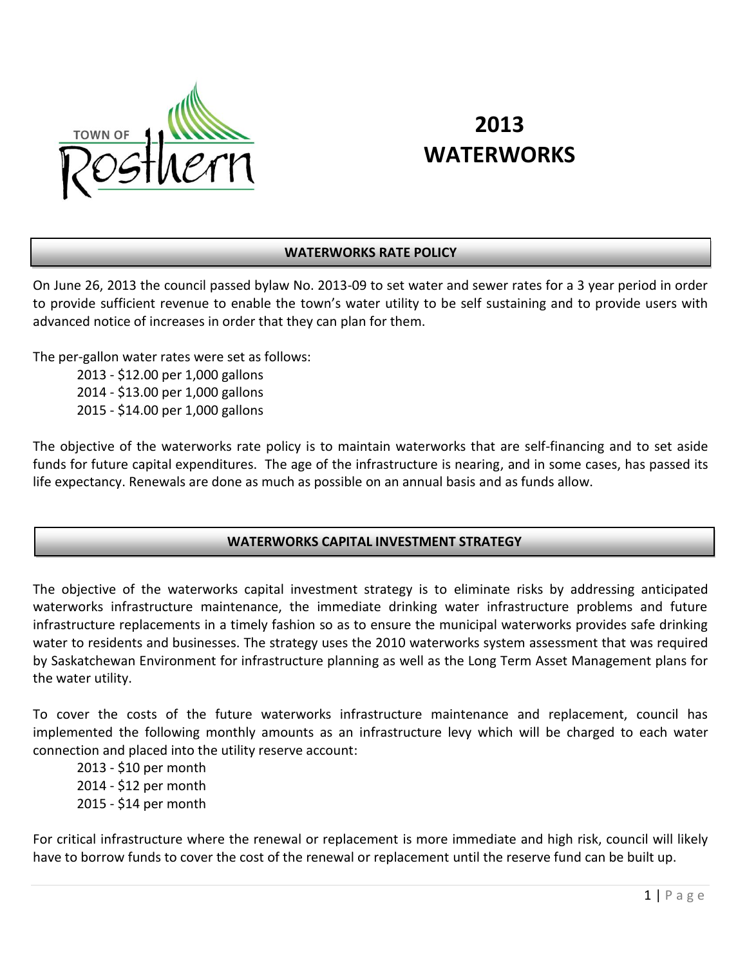

# **2013 WATERWORKS**

## **WATERWORKS RATE POLICY**

On June 26, 2013 the council passed bylaw No. 2013-09 to set water and sewer rates for a 3 year period in order to provide sufficient revenue to enable the town's water utility to be self sustaining and to provide users with advanced notice of increases in order that they can plan for them.

The per-gallon water rates were set as follows:

2013 - \$12.00 per 1,000 gallons 2014 - \$13.00 per 1,000 gallons 2015 - \$14.00 per 1,000 gallons

The objective of the waterworks rate policy is to maintain waterworks that are self-financing and to set aside funds for future capital expenditures. The age of the infrastructure is nearing, and in some cases, has passed its life expectancy. Renewals are done as much as possible on an annual basis and as funds allow.

## **WATERWORKS CAPITAL INVESTMENT STRATEGY**

The objective of the waterworks capital investment strategy is to eliminate risks by addressing anticipated waterworks infrastructure maintenance, the immediate drinking water infrastructure problems and future infrastructure replacements in a timely fashion so as to ensure the municipal waterworks provides safe drinking water to residents and businesses. The strategy uses the 2010 waterworks system assessment that was required by Saskatchewan Environment for infrastructure planning as well as the Long Term Asset Management plans for the water utility.

To cover the costs of the future waterworks infrastructure maintenance and replacement, council has implemented the following monthly amounts as an infrastructure levy which will be charged to each water connection and placed into the utility reserve account:

2013 - \$10 per month 2014 - \$12 per month 2015 - \$14 per month

For critical infrastructure where the renewal or replacement is more immediate and high risk, council will likely have to borrow funds to cover the cost of the renewal or replacement until the reserve fund can be built up.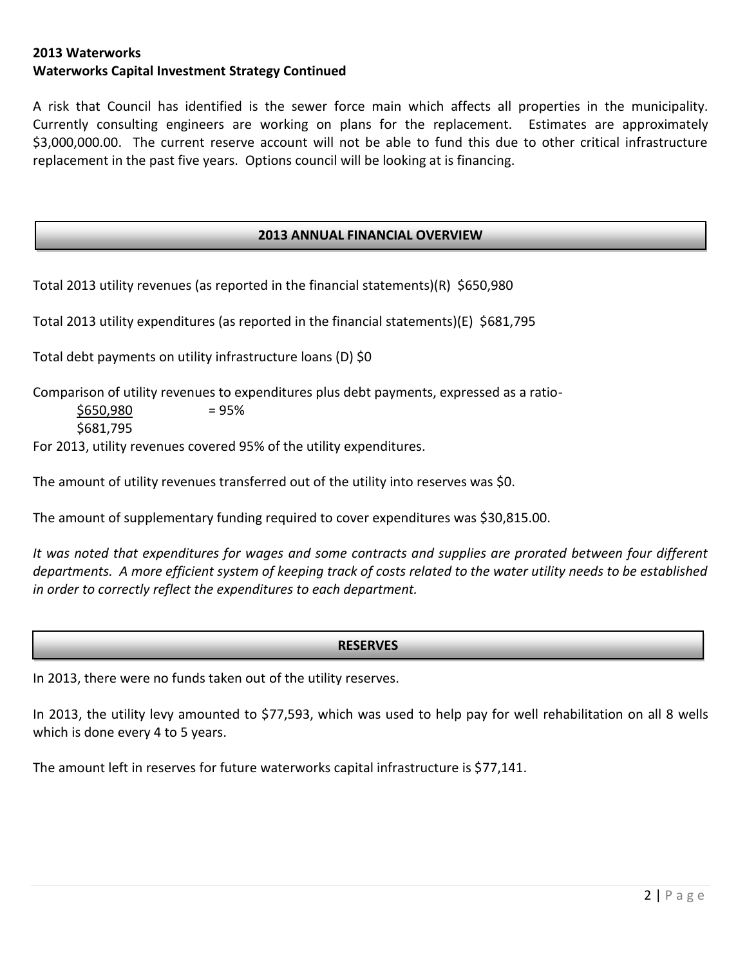## **2013 Waterworks Waterworks Capital Investment Strategy Continued**

A risk that Council has identified is the sewer force main which affects all properties in the municipality. Currently consulting engineers are working on plans for the replacement. Estimates are approximately \$3,000,000.00. The current reserve account will not be able to fund this due to other critical infrastructure replacement in the past five years. Options council will be looking at is financing.

#### **2013 ANNUAL FINANCIAL OVERVIEW**

Total 2013 utility revenues (as reported in the financial statements)(R) \$650,980

Total 2013 utility expenditures (as reported in the financial statements)(E) \$681,795

Total debt payments on utility infrastructure loans (D) \$0

Comparison of utility revenues to expenditures plus debt payments, expressed as a ratio-

 $$650.980 = 95\%$ \$681,795

For 2013, utility revenues covered 95% of the utility expenditures.

The amount of utility revenues transferred out of the utility into reserves was \$0.

The amount of supplementary funding required to cover expenditures was \$30,815.00.

*It was noted that expenditures for wages and some contracts and supplies are prorated between four different departments. A more efficient system of keeping track of costs related to the water utility needs to be established in order to correctly reflect the expenditures to each department.*

#### **RESERVES**

In 2013, there were no funds taken out of the utility reserves.

In 2013, the utility levy amounted to \$77,593, which was used to help pay for well rehabilitation on all 8 wells which is done every 4 to 5 years.

The amount left in reserves for future waterworks capital infrastructure is \$77,141.